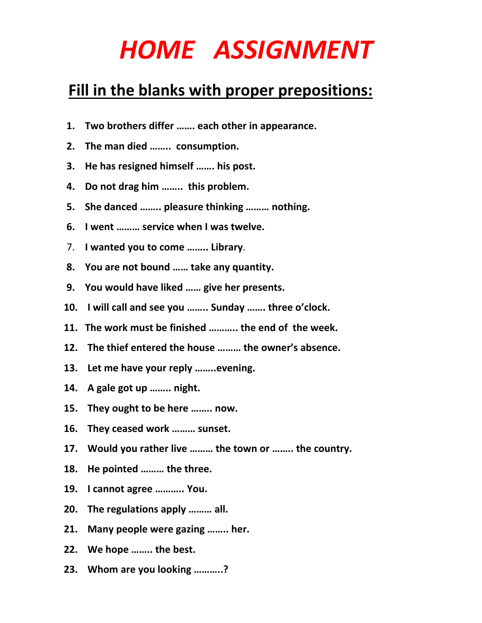## *HOME ASSIGNMENT*

## **Fill in the blanks with proper prepositions:**

- **1. Two brothers differ ……. each other in appearance.**
- **2. The man died …….. consumption.**
- **3. He has resigned himself ……. his post.**
- **4. Do not drag him …….. this problem.**
- **5. She danced …….. pleasure thinking ……… nothing.**
- **6. I went ……… service when I was twelve.**
- 7. **I wanted you to come …….. Library**.
- **8. You are not bound …… take any quantity.**
- **9. You would have liked …… give her presents.**
- **10. I will call and see you …….. Sunday ……. three o'clock.**
- **11. The work must be finished ……….. the end of the week.**
- **12. The thief entered the house ……… the owner's absence.**
- **13. Let me have your reply ……..evening.**
- **14. A gale got up …….. night.**
- **15. They ought to be here …….. now.**
- **16. They ceased work ……… sunset.**
- **17. Would you rather live ……… the town or …….. the country.**
- **18. He pointed ……… the three.**
- **19. I cannot agree ……….. You.**
- **20. The regulations apply ……… all.**
- **21. Many people were gazing …….. her.**
- **22. We hope …….. the best.**
- **23. Whom are you looking ………..?**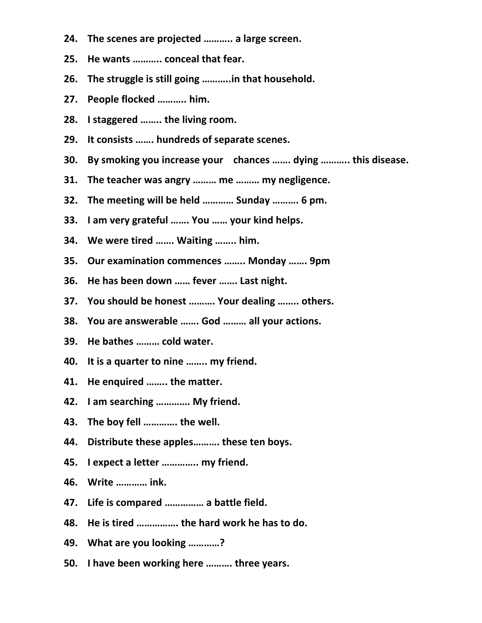- **24. The scenes are projected ……….. a large screen.**
- **25. He wants ……….. conceal that fear.**
- **26. The struggle is still going ………..in that household.**
- **27. People flocked ……….. him.**
- **28. I staggered …….. the living room.**
- **29. It consists ……. hundreds of separate scenes.**
- **30. By smoking you increase your chances ……. dying ……….. this disease.**
- **31. The teacher was angry ……… me ……… my negligence.**
- **32. The meeting will be held ………… Sunday ………. 6 pm.**
- **33. I am very grateful ……. You …… your kind helps.**
- **34. We were tired ……. Waiting …….. him.**
- **35. Our examination commences …….. Monday ……. 9pm**
- **36. He has been down …… fever ……. Last night.**
- **37. You should be honest ………. Your dealing …….. others.**
- **38. You are answerable ……. God ……… all your actions.**
- **39. He bathes ……… cold water.**
- **40. It is a quarter to nine …….. my friend.**
- **41. He enquired …….. the matter.**
- **42. I am searching …………. My friend.**
- **43. The boy fell …………. the well.**
- **44. Distribute these apples………. these ten boys.**
- **45. I expect a letter ………….. my friend.**
- **46. Write ………… ink.**
- **47. Life is compared …………… a battle field.**
- **48. He is tired ……………. the hard work he has to do.**
- **49. What are you looking …………?**
- **50. I have been working here ………. three years.**